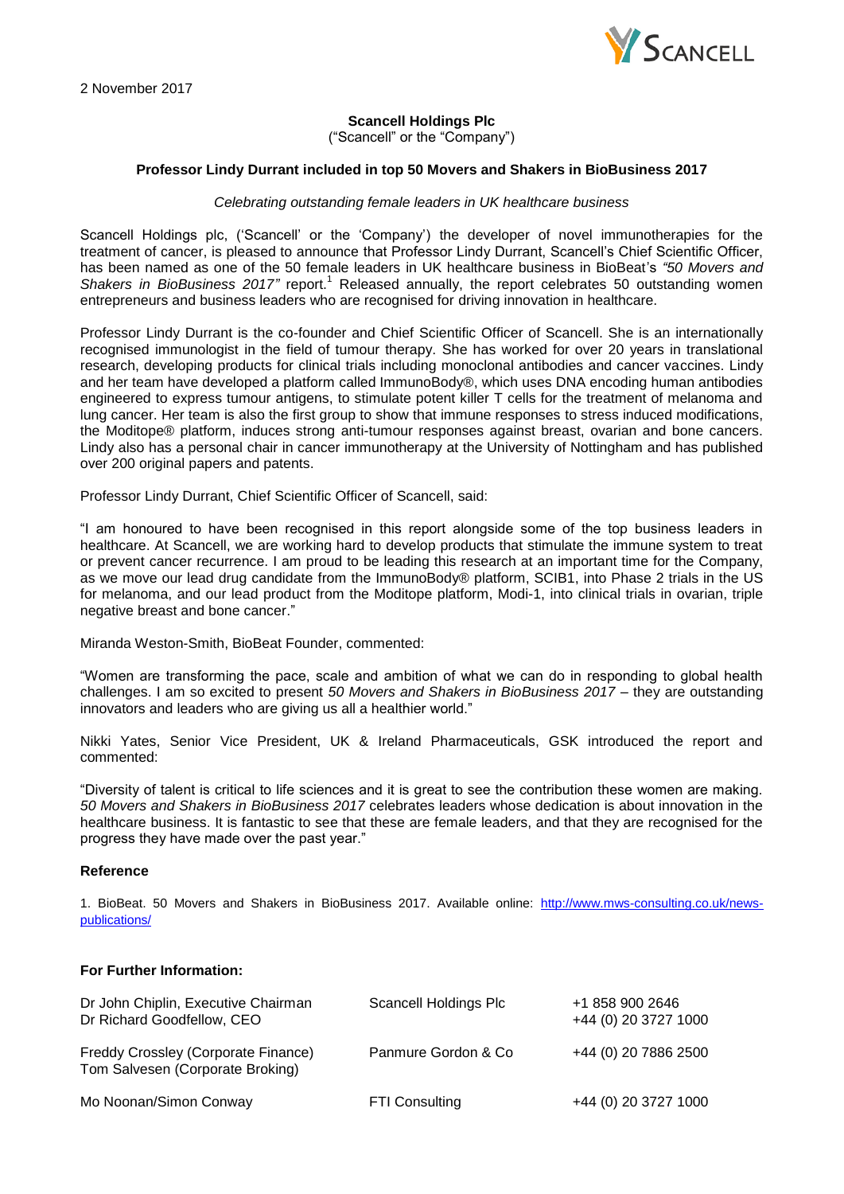

# **Scancell Holdings Plc**

("Scancell" or the "Company")

### **Professor Lindy Durrant included in top 50 Movers and Shakers in BioBusiness 2017**

#### *Celebrating outstanding female leaders in UK healthcare business*

Scancell Holdings plc, ('Scancell' or the 'Company') the developer of novel immunotherapies for the treatment of cancer, is pleased to announce that Professor Lindy Durrant, Scancell's Chief Scientific Officer, has been named as one of the 50 female leaders in UK healthcare business in BioBeat's *"50 Movers and*  Shakers in BioBusiness 2017" report.<sup>1</sup> Released annually, the report celebrates 50 outstanding women entrepreneurs and business leaders who are recognised for driving innovation in healthcare.

Professor Lindy Durrant is the co-founder and Chief Scientific Officer of Scancell. She is an internationally recognised immunologist in the field of tumour therapy. She has worked for over 20 years in translational research, developing products for clinical trials including monoclonal antibodies and cancer vaccines. Lindy and her team have developed a platform called ImmunoBody®, which uses DNA encoding human antibodies engineered to express tumour antigens, to stimulate potent killer T cells for the treatment of melanoma and lung cancer. Her team is also the first group to show that immune responses to stress induced modifications, the Moditope® platform, induces strong anti-tumour responses against breast, ovarian and bone cancers. Lindy also has a personal chair in cancer immunotherapy at the University of Nottingham and has published over 200 original papers and patents.

Professor Lindy Durrant, Chief Scientific Officer of Scancell, said:

"I am honoured to have been recognised in this report alongside some of the top business leaders in healthcare. At Scancell, we are working hard to develop products that stimulate the immune system to treat or prevent cancer recurrence. I am proud to be leading this research at an important time for the Company, as we move our lead drug candidate from the ImmunoBody® platform, SCIB1, into Phase 2 trials in the US for melanoma, and our lead product from the Moditope platform, Modi-1, into clinical trials in ovarian, triple negative breast and bone cancer."

Miranda Weston-Smith, BioBeat Founder, commented:

"Women are transforming the pace, scale and ambition of what we can do in responding to global health challenges. I am so excited to present *50 Movers and Shakers in BioBusiness 2017* – they are outstanding innovators and leaders who are giving us all a healthier world."

Nikki Yates, Senior Vice President, UK & Ireland Pharmaceuticals, GSK introduced the report and commented:

"Diversity of talent is critical to life sciences and it is great to see the contribution these women are making. *50 Movers and Shakers in BioBusiness 2017* celebrates leaders whose dedication is about innovation in the healthcare business. It is fantastic to see that these are female leaders, and that they are recognised for the progress they have made over the past year."

#### **Reference**

1. BioBeat. 50 Movers and Shakers in BioBusiness 2017. Available online: [http://www.mws-consulting.co.uk/news](http://www.mws-consulting.co.uk/news-publications/)[publications/](http://www.mws-consulting.co.uk/news-publications/)

### **For Further Information:**

| Dr John Chiplin, Executive Chairman<br>Dr Richard Goodfellow, CEO       | Scancell Holdings Plc | +1 858 900 2646<br>+44 (0) 20 3727 1000 |
|-------------------------------------------------------------------------|-----------------------|-----------------------------------------|
| Freddy Crossley (Corporate Finance)<br>Tom Salvesen (Corporate Broking) | Panmure Gordon & Co   | +44 (0) 20 7886 2500                    |
| Mo Noonan/Simon Conway                                                  | <b>FTI Consulting</b> | +44 (0) 20 3727 1000                    |